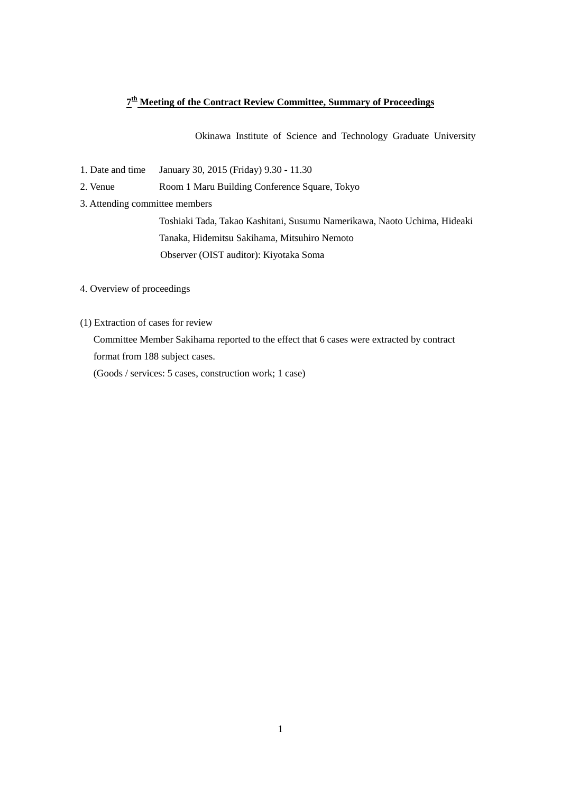## **7th Meeting of the Contract Review Committee, Summary of Proceedings**

Okinawa Institute of Science and Technology Graduate University

1. Date and time January 30, 2015 (Friday) 9.30 - 11.30

2. Venue Room 1 Maru Building Conference Square, Tokyo

3. Attending committee members

Toshiaki Tada, Takao Kashitani, Susumu Namerikawa, Naoto Uchima, Hideaki Tanaka, Hidemitsu Sakihama, Mitsuhiro Nemoto Observer (OIST auditor): Kiyotaka Soma

4. Overview of proceedings

(1) Extraction of cases for review

Committee Member Sakihama reported to the effect that 6 cases were extracted by contract format from 188 subject cases.

(Goods / services: 5 cases, construction work; 1 case)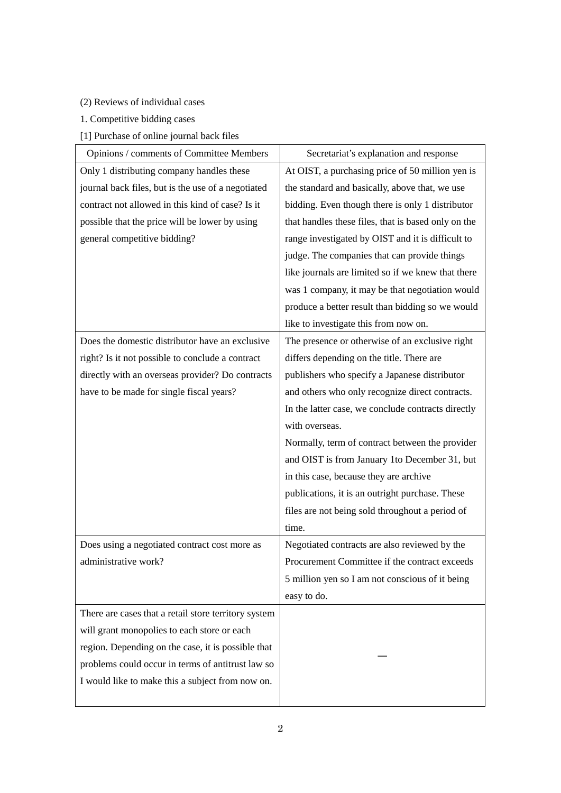- (2) Reviews of individual cases
- 1. Competitive bidding cases
- [1] Purchase of online journal back files

| Opinions / comments of Committee Members             | Secretariat's explanation and response              |
|------------------------------------------------------|-----------------------------------------------------|
| Only 1 distributing company handles these            | At OIST, a purchasing price of 50 million yen is    |
| journal back files, but is the use of a negotiated   | the standard and basically, above that, we use      |
| contract not allowed in this kind of case? Is it     | bidding. Even though there is only 1 distributor    |
| possible that the price will be lower by using       | that handles these files, that is based only on the |
| general competitive bidding?                         | range investigated by OIST and it is difficult to   |
|                                                      | judge. The companies that can provide things        |
|                                                      | like journals are limited so if we knew that there  |
|                                                      | was 1 company, it may be that negotiation would     |
|                                                      | produce a better result than bidding so we would    |
|                                                      | like to investigate this from now on.               |
| Does the domestic distributor have an exclusive      | The presence or otherwise of an exclusive right     |
| right? Is it not possible to conclude a contract     | differs depending on the title. There are           |
| directly with an overseas provider? Do contracts     | publishers who specify a Japanese distributor       |
| have to be made for single fiscal years?             | and others who only recognize direct contracts.     |
|                                                      | In the latter case, we conclude contracts directly  |
|                                                      | with overseas.                                      |
|                                                      | Normally, term of contract between the provider     |
|                                                      | and OIST is from January 1to December 31, but       |
|                                                      | in this case, because they are archive              |
|                                                      | publications, it is an outright purchase. These     |
|                                                      | files are not being sold throughout a period of     |
|                                                      | time.                                               |
| Does using a negotiated contract cost more as        | Negotiated contracts are also reviewed by the       |
| administrative work?                                 | Procurement Committee if the contract exceeds       |
|                                                      | 5 million yen so I am not conscious of it being     |
|                                                      | easy to do.                                         |
| There are cases that a retail store territory system |                                                     |
| will grant monopolies to each store or each          |                                                     |
| region. Depending on the case, it is possible that   |                                                     |
| problems could occur in terms of antitrust law so    |                                                     |
| I would like to make this a subject from now on.     |                                                     |
|                                                      |                                                     |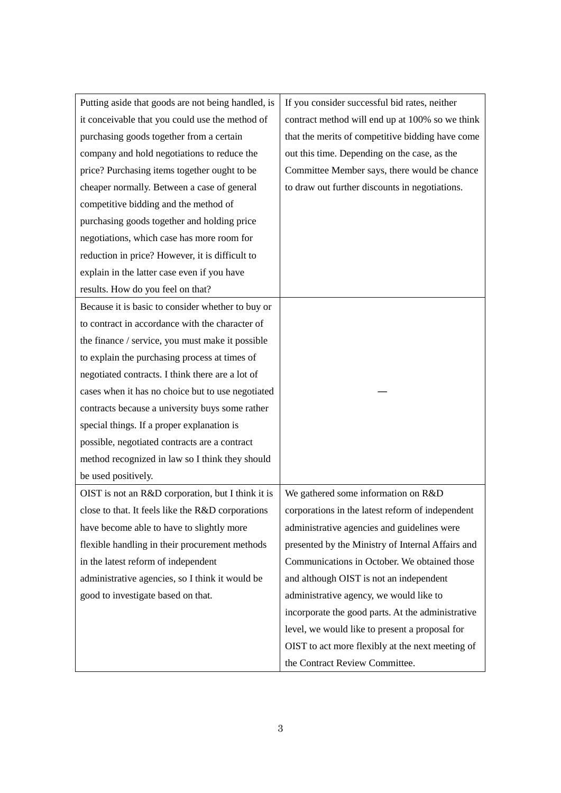| Putting aside that goods are not being handled, is | If you consider successful bid rates, neither     |
|----------------------------------------------------|---------------------------------------------------|
| it conceivable that you could use the method of    | contract method will end up at 100% so we think   |
| purchasing goods together from a certain           | that the merits of competitive bidding have come  |
| company and hold negotiations to reduce the        | out this time. Depending on the case, as the      |
| price? Purchasing items together ought to be       | Committee Member says, there would be chance      |
| cheaper normally. Between a case of general        | to draw out further discounts in negotiations.    |
| competitive bidding and the method of              |                                                   |
| purchasing goods together and holding price        |                                                   |
| negotiations, which case has more room for         |                                                   |
| reduction in price? However, it is difficult to    |                                                   |
| explain in the latter case even if you have        |                                                   |
| results. How do you feel on that?                  |                                                   |
| Because it is basic to consider whether to buy or  |                                                   |
| to contract in accordance with the character of    |                                                   |
| the finance / service, you must make it possible   |                                                   |
| to explain the purchasing process at times of      |                                                   |
| negotiated contracts. I think there are a lot of   |                                                   |
| cases when it has no choice but to use negotiated  |                                                   |
| contracts because a university buys some rather    |                                                   |
| special things. If a proper explanation is         |                                                   |
| possible, negotiated contracts are a contract      |                                                   |
| method recognized in law so I think they should    |                                                   |
| be used positively.                                |                                                   |
| OIST is not an R&D corporation, but I think it is  | We gathered some information on R&D               |
| close to that. It feels like the R&D corporations  | corporations in the latest reform of independent  |
| have become able to have to slightly more          | administrative agencies and guidelines were       |
| flexible handling in their procurement methods     | presented by the Ministry of Internal Affairs and |
| in the latest reform of independent                | Communications in October. We obtained those      |
| administrative agencies, so I think it would be    | and although OIST is not an independent           |
| good to investigate based on that.                 | administrative agency, we would like to           |
|                                                    | incorporate the good parts. At the administrative |
|                                                    | level, we would like to present a proposal for    |
|                                                    | OIST to act more flexibly at the next meeting of  |
|                                                    | the Contract Review Committee.                    |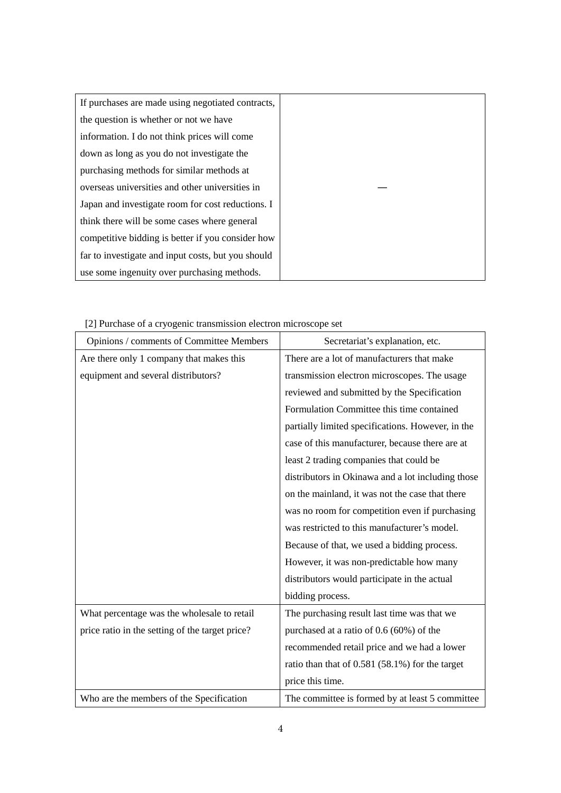| If purchases are made using negotiated contracts,  |  |
|----------------------------------------------------|--|
| the question is whether or not we have             |  |
| information. I do not think prices will come       |  |
| down as long as you do not investigate the         |  |
| purchasing methods for similar methods at          |  |
| overseas universities and other universities in    |  |
| Japan and investigate room for cost reductions. I  |  |
| think there will be some cases where general       |  |
| competitive bidding is better if you consider how  |  |
| far to investigate and input costs, but you should |  |
| use some ingenuity over purchasing methods.        |  |

[2] Purchase of a cryogenic transmission electron microscope set

| Opinions / comments of Committee Members        | Secretariat's explanation, etc.                   |
|-------------------------------------------------|---------------------------------------------------|
| Are there only 1 company that makes this        | There are a lot of manufacturers that make        |
| equipment and several distributors?             | transmission electron microscopes. The usage      |
|                                                 | reviewed and submitted by the Specification       |
|                                                 | Formulation Committee this time contained         |
|                                                 | partially limited specifications. However, in the |
|                                                 | case of this manufacturer, because there are at   |
|                                                 | least 2 trading companies that could be           |
|                                                 | distributors in Okinawa and a lot including those |
|                                                 | on the mainland, it was not the case that there   |
|                                                 | was no room for competition even if purchasing    |
|                                                 | was restricted to this manufacturer's model.      |
|                                                 | Because of that, we used a bidding process.       |
|                                                 | However, it was non-predictable how many          |
|                                                 | distributors would participate in the actual      |
|                                                 | bidding process.                                  |
| What percentage was the wholesale to retail     | The purchasing result last time was that we       |
| price ratio in the setting of the target price? | purchased at a ratio of 0.6 (60%) of the          |
|                                                 | recommended retail price and we had a lower       |
|                                                 | ratio than that of $0.581$ (58.1%) for the target |
|                                                 | price this time.                                  |
| Who are the members of the Specification        | The committee is formed by at least 5 committee   |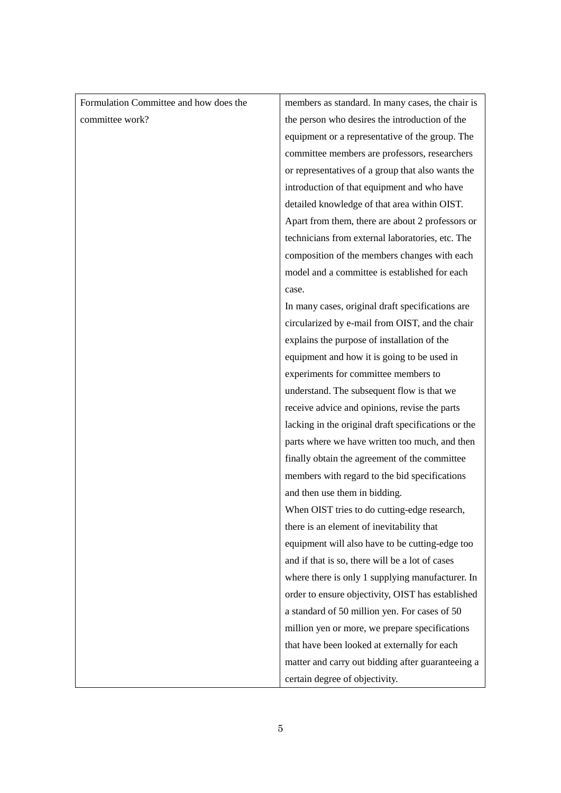| Formulation Committee and how does the | members as standard. In many cases, the chair is    |
|----------------------------------------|-----------------------------------------------------|
| committee work?                        | the person who desires the introduction of the      |
|                                        | equipment or a representative of the group. The     |
|                                        | committee members are professors, researchers       |
|                                        | or representatives of a group that also wants the   |
|                                        | introduction of that equipment and who have         |
|                                        | detailed knowledge of that area within OIST.        |
|                                        | Apart from them, there are about 2 professors or    |
|                                        | technicians from external laboratories, etc. The    |
|                                        | composition of the members changes with each        |
|                                        | model and a committee is established for each       |
|                                        | case.                                               |
|                                        | In many cases, original draft specifications are    |
|                                        | circularized by e-mail from OIST, and the chair     |
|                                        | explains the purpose of installation of the         |
|                                        | equipment and how it is going to be used in         |
|                                        | experiments for committee members to                |
|                                        | understand. The subsequent flow is that we          |
|                                        | receive advice and opinions, revise the parts       |
|                                        | lacking in the original draft specifications or the |
|                                        | parts where we have written too much, and then      |
|                                        | finally obtain the agreement of the committee       |
|                                        | members with regard to the bid specifications       |
|                                        | and then use them in bidding.                       |
|                                        | When OIST tries to do cutting-edge research,        |
|                                        | there is an element of inevitability that           |
|                                        | equipment will also have to be cutting-edge too     |
|                                        | and if that is so, there will be a lot of cases     |
|                                        | where there is only 1 supplying manufacturer. In    |
|                                        | order to ensure objectivity, OIST has established   |
|                                        | a standard of 50 million yen. For cases of 50       |
|                                        | million yen or more, we prepare specifications      |
|                                        | that have been looked at externally for each        |
|                                        | matter and carry out bidding after guaranteeing a   |
|                                        | certain degree of objectivity.                      |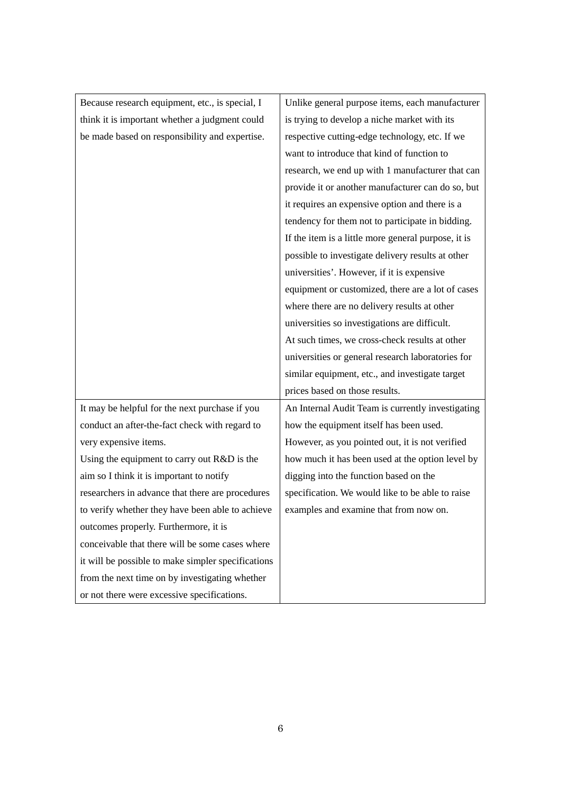| Because research equipment, etc., is special, I    | Unlike general purpose items, each manufacturer     |
|----------------------------------------------------|-----------------------------------------------------|
| think it is important whether a judgment could     | is trying to develop a niche market with its        |
| be made based on responsibility and expertise.     | respective cutting-edge technology, etc. If we      |
|                                                    | want to introduce that kind of function to          |
|                                                    | research, we end up with 1 manufacturer that can    |
|                                                    | provide it or another manufacturer can do so, but   |
|                                                    | it requires an expensive option and there is a      |
|                                                    | tendency for them not to participate in bidding.    |
|                                                    | If the item is a little more general purpose, it is |
|                                                    | possible to investigate delivery results at other   |
|                                                    | universities'. However, if it is expensive          |
|                                                    | equipment or customized, there are a lot of cases   |
|                                                    | where there are no delivery results at other        |
|                                                    | universities so investigations are difficult.       |
|                                                    | At such times, we cross-check results at other      |
|                                                    | universities or general research laboratories for   |
|                                                    | similar equipment, etc., and investigate target     |
|                                                    | prices based on those results.                      |
| It may be helpful for the next purchase if you     | An Internal Audit Team is currently investigating   |
| conduct an after-the-fact check with regard to     | how the equipment itself has been used.             |
| very expensive items.                              | However, as you pointed out, it is not verified     |
| Using the equipment to carry out R&D is the        | how much it has been used at the option level by    |
| aim so I think it is important to notify           | digging into the function based on the              |
| researchers in advance that there are procedures   | specification. We would like to be able to raise    |
| to verify whether they have been able to achieve   | examples and examine that from now on.              |
| outcomes properly. Furthermore, it is              |                                                     |
| conceivable that there will be some cases where    |                                                     |
| it will be possible to make simpler specifications |                                                     |
| from the next time on by investigating whether     |                                                     |
| or not there were excessive specifications.        |                                                     |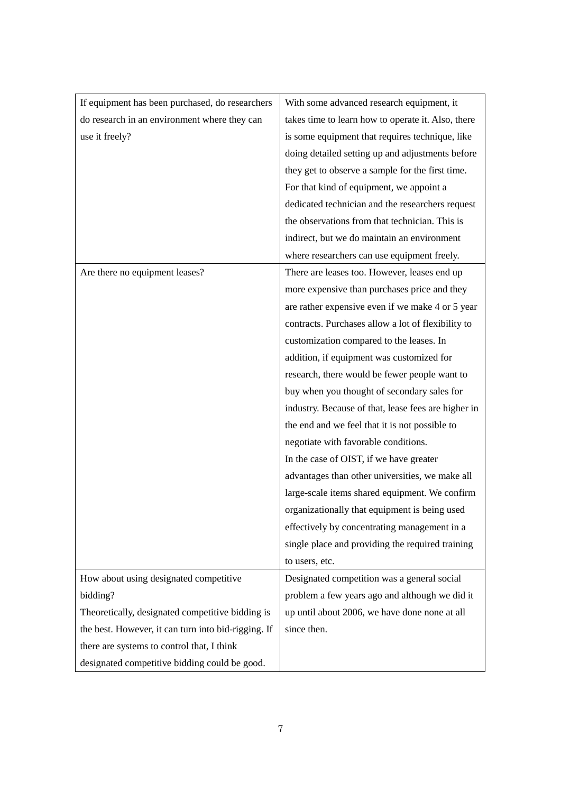| If equipment has been purchased, do researchers     | With some advanced research equipment, it           |
|-----------------------------------------------------|-----------------------------------------------------|
| do research in an environment where they can        | takes time to learn how to operate it. Also, there  |
| use it freely?                                      | is some equipment that requires technique, like     |
|                                                     | doing detailed setting up and adjustments before    |
|                                                     | they get to observe a sample for the first time.    |
|                                                     | For that kind of equipment, we appoint a            |
|                                                     | dedicated technician and the researchers request    |
|                                                     | the observations from that technician. This is      |
|                                                     | indirect, but we do maintain an environment         |
|                                                     | where researchers can use equipment freely.         |
| Are there no equipment leases?                      | There are leases too. However, leases end up        |
|                                                     | more expensive than purchases price and they        |
|                                                     | are rather expensive even if we make 4 or 5 year    |
|                                                     | contracts. Purchases allow a lot of flexibility to  |
|                                                     | customization compared to the leases. In            |
|                                                     | addition, if equipment was customized for           |
|                                                     | research, there would be fewer people want to       |
|                                                     | buy when you thought of secondary sales for         |
|                                                     | industry. Because of that, lease fees are higher in |
|                                                     | the end and we feel that it is not possible to      |
|                                                     | negotiate with favorable conditions.                |
|                                                     | In the case of OIST, if we have greater             |
|                                                     | advantages than other universities, we make all     |
|                                                     | large-scale items shared equipment. We confirm      |
|                                                     | organizationally that equipment is being used       |
|                                                     | effectively by concentrating management in a        |
|                                                     | single place and providing the required training    |
|                                                     | to users, etc.                                      |
| How about using designated competitive              | Designated competition was a general social         |
| bidding?                                            | problem a few years ago and although we did it      |
| Theoretically, designated competitive bidding is    | up until about 2006, we have done none at all       |
| the best. However, it can turn into bid-rigging. If | since then.                                         |
| there are systems to control that, I think          |                                                     |
| designated competitive bidding could be good.       |                                                     |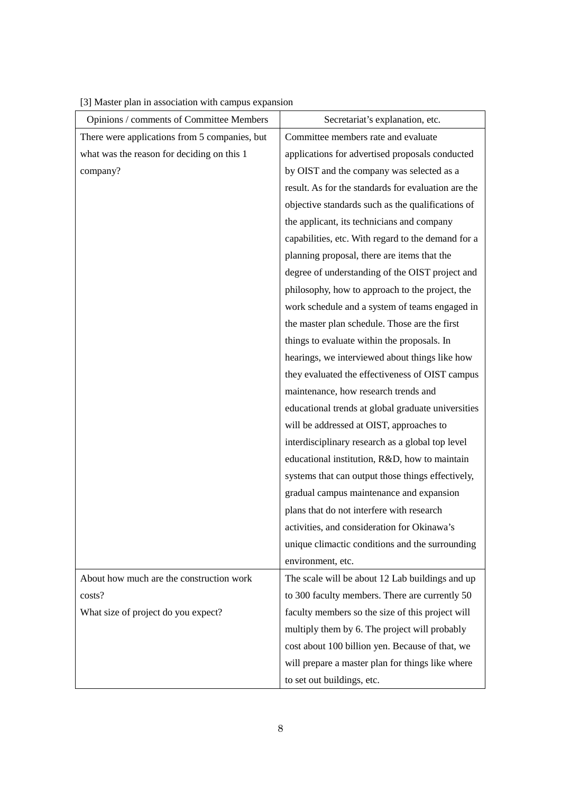| Opinions / comments of Committee Members      | Secretariat's explanation, etc.                     |
|-----------------------------------------------|-----------------------------------------------------|
| There were applications from 5 companies, but | Committee members rate and evaluate                 |
| what was the reason for deciding on this 1    | applications for advertised proposals conducted     |
| company?                                      | by OIST and the company was selected as a           |
|                                               | result. As for the standards for evaluation are the |
|                                               | objective standards such as the qualifications of   |
|                                               | the applicant, its technicians and company          |
|                                               | capabilities, etc. With regard to the demand for a  |
|                                               | planning proposal, there are items that the         |
|                                               | degree of understanding of the OIST project and     |
|                                               | philosophy, how to approach to the project, the     |
|                                               | work schedule and a system of teams engaged in      |
|                                               | the master plan schedule. Those are the first       |
|                                               | things to evaluate within the proposals. In         |
|                                               | hearings, we interviewed about things like how      |
|                                               | they evaluated the effectiveness of OIST campus     |
|                                               | maintenance, how research trends and                |
|                                               | educational trends at global graduate universities  |
|                                               | will be addressed at OIST, approaches to            |
|                                               | interdisciplinary research as a global top level    |
|                                               | educational institution, R&D, how to maintain       |
|                                               | systems that can output those things effectively,   |
|                                               | gradual campus maintenance and expansion            |
|                                               | plans that do not interfere with research           |
|                                               | activities, and consideration for Okinawa's         |
|                                               | unique climactic conditions and the surrounding     |
|                                               | environment, etc.                                   |
| About how much are the construction work      | The scale will be about 12 Lab buildings and up     |
| costs?                                        | to 300 faculty members. There are currently 50      |
| What size of project do you expect?           | faculty members so the size of this project will    |
|                                               | multiply them by 6. The project will probably       |
|                                               | cost about 100 billion yen. Because of that, we     |
|                                               | will prepare a master plan for things like where    |
|                                               | to set out buildings, etc.                          |

[3] Master plan in association with campus expansion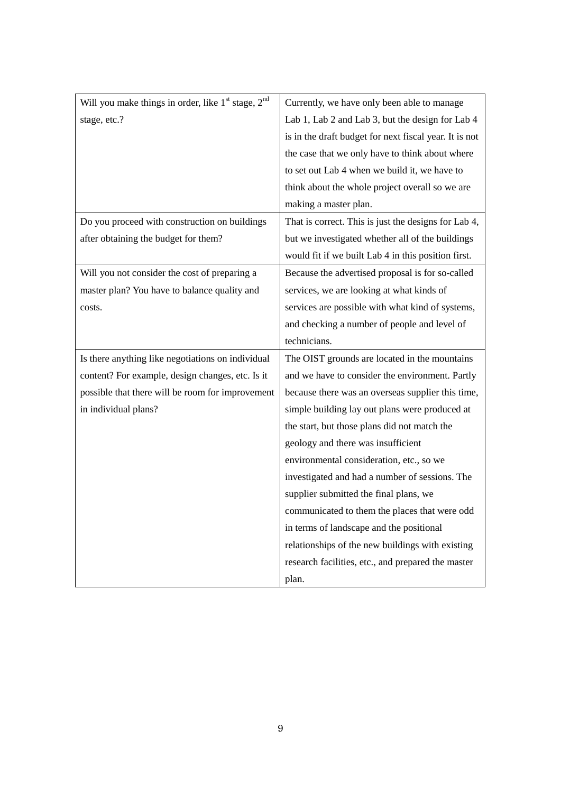| Will you make things in order, like 1 <sup>st</sup> stage, 2 <sup>nd</sup> | Currently, we have only been able to manage            |
|----------------------------------------------------------------------------|--------------------------------------------------------|
| stage, etc.?                                                               | Lab 1, Lab 2 and Lab 3, but the design for Lab 4       |
|                                                                            | is in the draft budget for next fiscal year. It is not |
|                                                                            | the case that we only have to think about where        |
|                                                                            | to set out Lab 4 when we build it, we have to          |
|                                                                            | think about the whole project overall so we are        |
|                                                                            | making a master plan.                                  |
| Do you proceed with construction on buildings                              | That is correct. This is just the designs for Lab 4,   |
| after obtaining the budget for them?                                       | but we investigated whether all of the buildings       |
|                                                                            | would fit if we built Lab 4 in this position first.    |
| Will you not consider the cost of preparing a                              | Because the advertised proposal is for so-called       |
| master plan? You have to balance quality and                               | services, we are looking at what kinds of              |
| costs.                                                                     | services are possible with what kind of systems,       |
|                                                                            | and checking a number of people and level of           |
|                                                                            | technicians.                                           |
| Is there anything like negotiations on individual                          | The OIST grounds are located in the mountains          |
| content? For example, design changes, etc. Is it                           | and we have to consider the environment. Partly        |
| possible that there will be room for improvement                           | because there was an overseas supplier this time,      |
| in individual plans?                                                       | simple building lay out plans were produced at         |
|                                                                            | the start, but those plans did not match the           |
|                                                                            | geology and there was insufficient                     |
|                                                                            | environmental consideration, etc., so we               |
|                                                                            | investigated and had a number of sessions. The         |
|                                                                            | supplier submitted the final plans, we                 |
|                                                                            | communicated to them the places that were odd          |
|                                                                            | in terms of landscape and the positional               |
|                                                                            | relationships of the new buildings with existing       |
|                                                                            | research facilities, etc., and prepared the master     |
|                                                                            | plan.                                                  |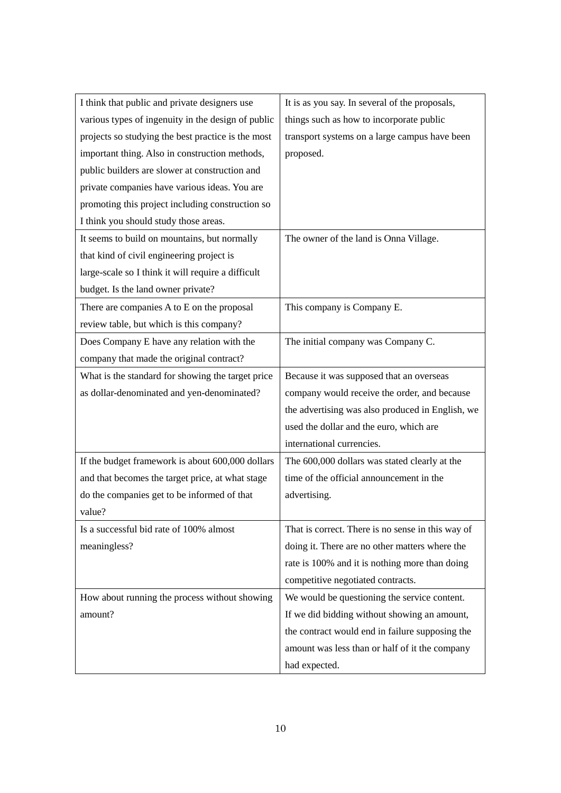| I think that public and private designers use      | It is as you say. In several of the proposals,    |
|----------------------------------------------------|---------------------------------------------------|
| various types of ingenuity in the design of public | things such as how to incorporate public          |
| projects so studying the best practice is the most | transport systems on a large campus have been     |
| important thing. Also in construction methods,     | proposed.                                         |
| public builders are slower at construction and     |                                                   |
| private companies have various ideas. You are      |                                                   |
| promoting this project including construction so   |                                                   |
| I think you should study those areas.              |                                                   |
| It seems to build on mountains, but normally       | The owner of the land is Onna Village.            |
| that kind of civil engineering project is          |                                                   |
| large-scale so I think it will require a difficult |                                                   |
| budget. Is the land owner private?                 |                                                   |
| There are companies A to E on the proposal         | This company is Company E.                        |
| review table, but which is this company?           |                                                   |
| Does Company E have any relation with the          | The initial company was Company C.                |
| company that made the original contract?           |                                                   |
| What is the standard for showing the target price  | Because it was supposed that an overseas          |
| as dollar-denominated and yen-denominated?         | company would receive the order, and because      |
|                                                    | the advertising was also produced in English, we  |
|                                                    | used the dollar and the euro, which are           |
|                                                    | international currencies.                         |
| If the budget framework is about 600,000 dollars   | The 600,000 dollars was stated clearly at the     |
| and that becomes the target price, at what stage   | time of the official announcement in the          |
| do the companies get to be informed of that        | advertising.                                      |
| value?                                             |                                                   |
| Is a successful bid rate of 100% almost            | That is correct. There is no sense in this way of |
| meaningless?                                       | doing it. There are no other matters where the    |
|                                                    | rate is 100% and it is nothing more than doing    |
|                                                    | competitive negotiated contracts.                 |
| How about running the process without showing      | We would be questioning the service content.      |
| amount?                                            | If we did bidding without showing an amount,      |
|                                                    | the contract would end in failure supposing the   |
|                                                    | amount was less than or half of it the company    |
|                                                    | had expected.                                     |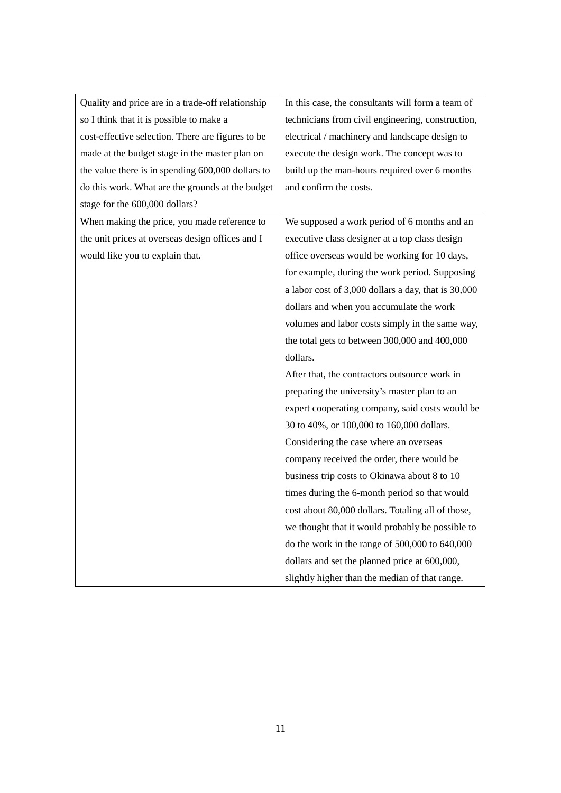| Quality and price are in a trade-off relationship | In this case, the consultants will form a team of   |
|---------------------------------------------------|-----------------------------------------------------|
| so I think that it is possible to make a          | technicians from civil engineering, construction,   |
| cost-effective selection. There are figures to be | electrical / machinery and landscape design to      |
| made at the budget stage in the master plan on    | execute the design work. The concept was to         |
| the value there is in spending 600,000 dollars to | build up the man-hours required over 6 months       |
| do this work. What are the grounds at the budget  | and confirm the costs.                              |
| stage for the 600,000 dollars?                    |                                                     |
| When making the price, you made reference to      | We supposed a work period of 6 months and an        |
| the unit prices at overseas design offices and I  | executive class designer at a top class design      |
| would like you to explain that.                   | office overseas would be working for 10 days,       |
|                                                   | for example, during the work period. Supposing      |
|                                                   | a labor cost of 3,000 dollars a day, that is 30,000 |
|                                                   | dollars and when you accumulate the work            |
|                                                   | volumes and labor costs simply in the same way,     |
|                                                   | the total gets to between 300,000 and 400,000       |
|                                                   | dollars.                                            |
|                                                   | After that, the contractors outsource work in       |
|                                                   | preparing the university's master plan to an        |
|                                                   | expert cooperating company, said costs would be     |
|                                                   | 30 to 40%, or 100,000 to 160,000 dollars.           |
|                                                   | Considering the case where an overseas              |
|                                                   | company received the order, there would be          |
|                                                   | business trip costs to Okinawa about 8 to 10        |
|                                                   | times during the 6-month period so that would       |
|                                                   | cost about 80,000 dollars. Totaling all of those,   |
|                                                   | we thought that it would probably be possible to    |
|                                                   | do the work in the range of 500,000 to 640,000      |
|                                                   | dollars and set the planned price at 600,000,       |
|                                                   | slightly higher than the median of that range.      |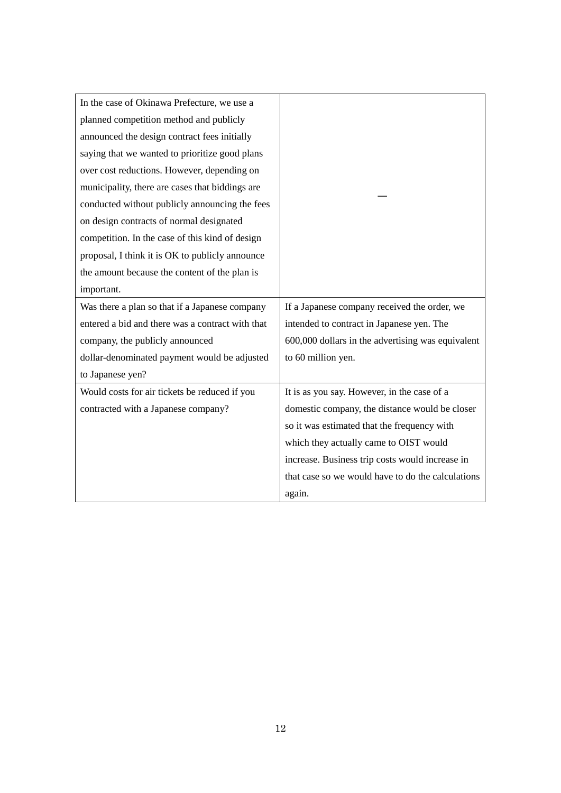| In the case of Okinawa Prefecture, we use a      |                                                   |
|--------------------------------------------------|---------------------------------------------------|
| planned competition method and publicly          |                                                   |
| announced the design contract fees initially     |                                                   |
| saying that we wanted to prioritize good plans   |                                                   |
| over cost reductions. However, depending on      |                                                   |
| municipality, there are cases that biddings are  |                                                   |
| conducted without publicly announcing the fees   |                                                   |
| on design contracts of normal designated         |                                                   |
| competition. In the case of this kind of design  |                                                   |
| proposal, I think it is OK to publicly announce  |                                                   |
| the amount because the content of the plan is    |                                                   |
| important.                                       |                                                   |
|                                                  |                                                   |
| Was there a plan so that if a Japanese company   | If a Japanese company received the order, we      |
| entered a bid and there was a contract with that | intended to contract in Japanese yen. The         |
| company, the publicly announced                  | 600,000 dollars in the advertising was equivalent |
| dollar-denominated payment would be adjusted     | to 60 million yen.                                |
| to Japanese yen?                                 |                                                   |
| Would costs for air tickets be reduced if you    | It is as you say. However, in the case of a       |
| contracted with a Japanese company?              | domestic company, the distance would be closer    |
|                                                  | so it was estimated that the frequency with       |
|                                                  | which they actually came to OIST would            |
|                                                  | increase. Business trip costs would increase in   |
|                                                  | that case so we would have to do the calculations |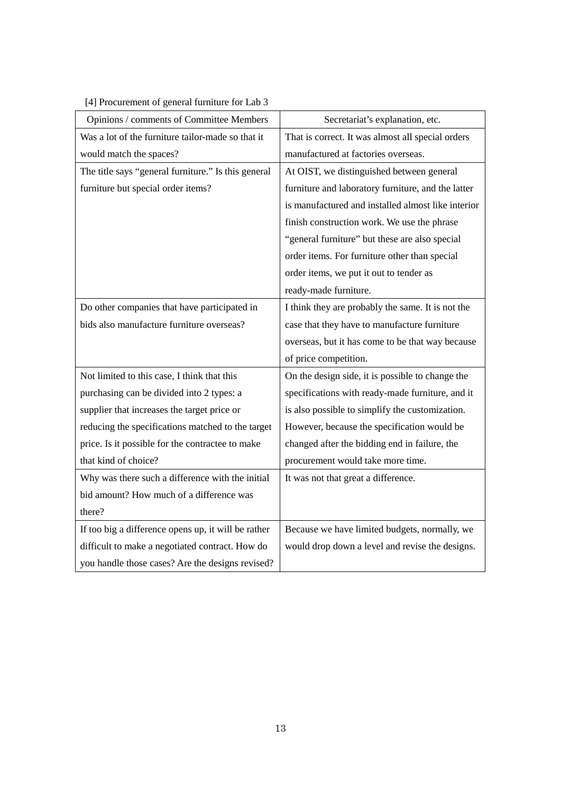[4] Procurement of general furniture for Lab 3

| Opinions / comments of Committee Members            | Secretariat's explanation, etc.                    |
|-----------------------------------------------------|----------------------------------------------------|
| Was a lot of the furniture tailor-made so that it   | That is correct. It was almost all special orders  |
| would match the spaces?                             | manufactured at factories overseas.                |
| The title says "general furniture." Is this general | At OIST, we distinguished between general          |
| furniture but special order items?                  | furniture and laboratory furniture, and the latter |
|                                                     | is manufactured and installed almost like interior |
|                                                     | finish construction work. We use the phrase        |
|                                                     | "general furniture" but these are also special     |
|                                                     | order items. For furniture other than special      |
|                                                     | order items, we put it out to tender as            |
|                                                     | ready-made furniture.                              |
| Do other companies that have participated in        | I think they are probably the same. It is not the  |
| bids also manufacture furniture overseas?           | case that they have to manufacture furniture       |
|                                                     | overseas, but it has come to be that way because   |
|                                                     | of price competition.                              |
| Not limited to this case, I think that this         | On the design side, it is possible to change the   |
| purchasing can be divided into 2 types: a           | specifications with ready-made furniture, and it   |
| supplier that increases the target price or         | is also possible to simplify the customization.    |
| reducing the specifications matched to the target   | However, because the specification would be        |
| price. Is it possible for the contractee to make    | changed after the bidding end in failure, the      |
| that kind of choice?                                | procurement would take more time.                  |
| Why was there such a difference with the initial    | It was not that great a difference.                |
| bid amount? How much of a difference was            |                                                    |
| there?                                              |                                                    |
| If too big a difference opens up, it will be rather | Because we have limited budgets, normally, we      |
| difficult to make a negotiated contract. How do     | would drop down a level and revise the designs.    |
| you handle those cases? Are the designs revised?    |                                                    |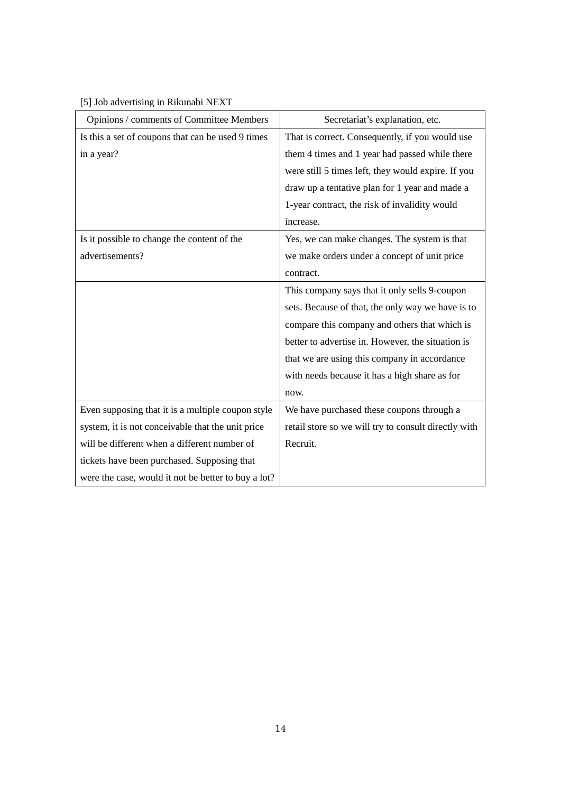[5] Job advertising in Rikunabi NEXT

| Opinions / comments of Committee Members            | Secretariat's explanation, etc.                      |
|-----------------------------------------------------|------------------------------------------------------|
| Is this a set of coupons that can be used 9 times   | That is correct. Consequently, if you would use      |
| in a year?                                          | them 4 times and 1 year had passed while there       |
|                                                     | were still 5 times left, they would expire. If you   |
|                                                     | draw up a tentative plan for 1 year and made a       |
|                                                     | 1-year contract, the risk of invalidity would        |
|                                                     | increase.                                            |
| Is it possible to change the content of the         | Yes, we can make changes. The system is that         |
| advertisements?                                     | we make orders under a concept of unit price         |
|                                                     | contract.                                            |
|                                                     | This company says that it only sells 9-coupon        |
|                                                     | sets. Because of that, the only way we have is to    |
|                                                     | compare this company and others that which is        |
|                                                     | better to advertise in. However, the situation is    |
|                                                     | that we are using this company in accordance         |
|                                                     | with needs because it has a high share as for        |
|                                                     | now.                                                 |
| Even supposing that it is a multiple coupon style   | We have purchased these coupons through a            |
| system, it is not conceivable that the unit price   | retail store so we will try to consult directly with |
| will be different when a different number of        | Recruit.                                             |
| tickets have been purchased. Supposing that         |                                                      |
| were the case, would it not be better to buy a lot? |                                                      |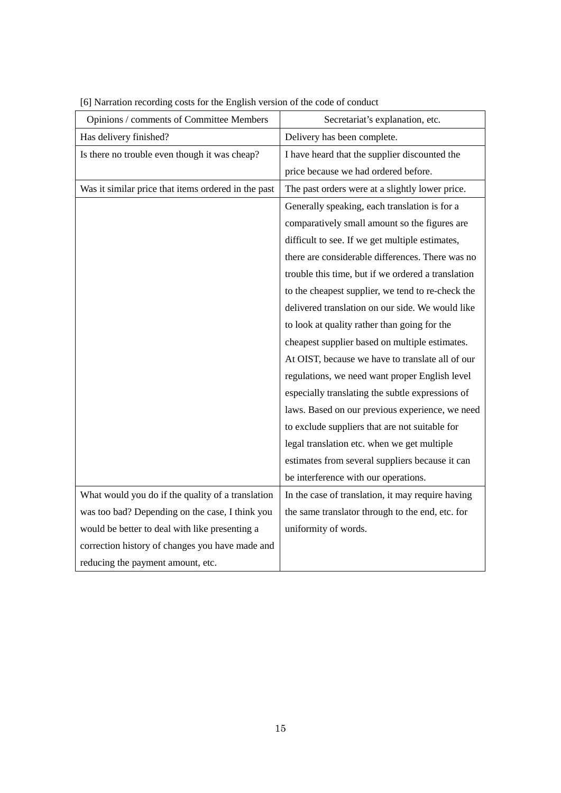| Opinions / comments of Committee Members            | Secretariat's explanation, etc.                    |
|-----------------------------------------------------|----------------------------------------------------|
| Has delivery finished?                              | Delivery has been complete.                        |
| Is there no trouble even though it was cheap?       | I have heard that the supplier discounted the      |
|                                                     | price because we had ordered before.               |
| Was it similar price that items ordered in the past | The past orders were at a slightly lower price.    |
|                                                     | Generally speaking, each translation is for a      |
|                                                     | comparatively small amount so the figures are      |
|                                                     | difficult to see. If we get multiple estimates,    |
|                                                     | there are considerable differences. There was no   |
|                                                     | trouble this time, but if we ordered a translation |
|                                                     | to the cheapest supplier, we tend to re-check the  |
|                                                     | delivered translation on our side. We would like   |
|                                                     | to look at quality rather than going for the       |
|                                                     | cheapest supplier based on multiple estimates.     |
|                                                     | At OIST, because we have to translate all of our   |
|                                                     | regulations, we need want proper English level     |
|                                                     | especially translating the subtle expressions of   |
|                                                     | laws. Based on our previous experience, we need    |
|                                                     | to exclude suppliers that are not suitable for     |
|                                                     | legal translation etc. when we get multiple        |
|                                                     | estimates from several suppliers because it can    |
|                                                     | be interference with our operations.               |
| What would you do if the quality of a translation   | In the case of translation, it may require having  |
| was too bad? Depending on the case, I think you     | the same translator through to the end, etc. for   |
| would be better to deal with like presenting a      | uniformity of words.                               |
| correction history of changes you have made and     |                                                    |
| reducing the payment amount, etc.                   |                                                    |

[6] Narration recording costs for the English version of the code of conduct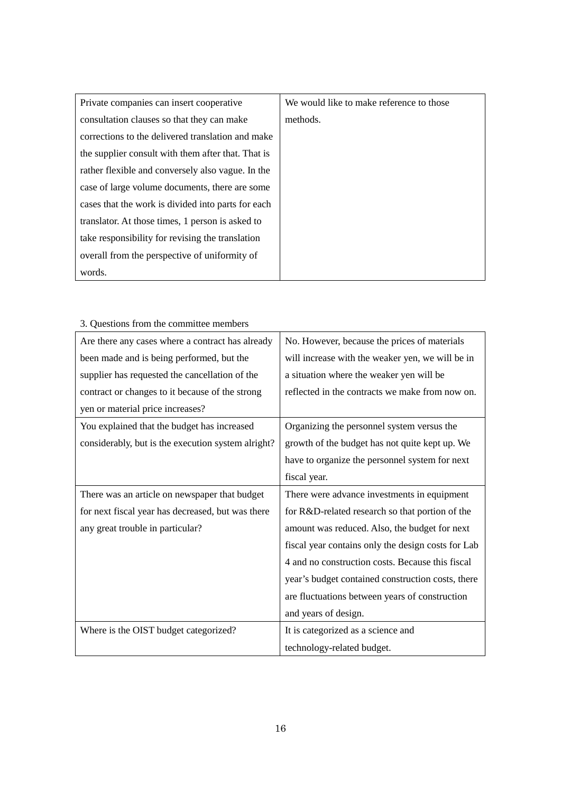| Private companies can insert cooperative           | We would like to make reference to those |
|----------------------------------------------------|------------------------------------------|
| consultation clauses so that they can make         | methods.                                 |
| corrections to the delivered translation and make  |                                          |
| the supplier consult with them after that. That is |                                          |
| rather flexible and conversely also vague. In the  |                                          |
| case of large volume documents, there are some     |                                          |
| cases that the work is divided into parts for each |                                          |
| translator. At those times, 1 person is asked to   |                                          |
| take responsibility for revising the translation   |                                          |
| overall from the perspective of uniformity of      |                                          |
| words.                                             |                                          |

| 3. Questions from the committee members            |                                                    |
|----------------------------------------------------|----------------------------------------------------|
| Are there any cases where a contract has already   | No. However, because the prices of materials       |
| been made and is being performed, but the          | will increase with the weaker yen, we will be in   |
| supplier has requested the cancellation of the     | a situation where the weaker yen will be           |
| contract or changes to it because of the strong    | reflected in the contracts we make from now on.    |
| yen or material price increases?                   |                                                    |
| You explained that the budget has increased        | Organizing the personnel system versus the         |
| considerably, but is the execution system alright? | growth of the budget has not quite kept up. We     |
|                                                    | have to organize the personnel system for next     |
|                                                    | fiscal year.                                       |
| There was an article on newspaper that budget      | There were advance investments in equipment        |
| for next fiscal year has decreased, but was there  | for R&D-related research so that portion of the    |
| any great trouble in particular?                   | amount was reduced. Also, the budget for next      |
|                                                    | fiscal year contains only the design costs for Lab |
|                                                    | 4 and no construction costs. Because this fiscal   |
|                                                    | year's budget contained construction costs, there  |
|                                                    | are fluctuations between years of construction     |
|                                                    | and years of design.                               |
| Where is the OIST budget categorized?              | It is categorized as a science and                 |
|                                                    | technology-related budget.                         |

## 3. Questions from the committee members